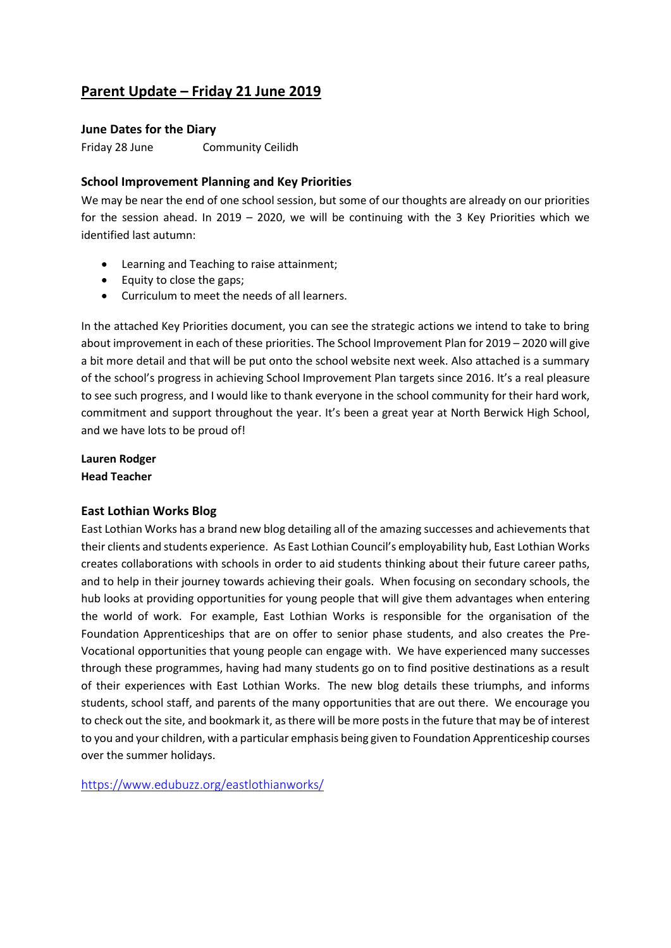# **Parent Update – Friday 21 June 2019**

#### **June Dates for the Diary**

Friday 28 June Community Ceilidh

# **School Improvement Planning and Key Priorities**

We may be near the end of one school session, but some of our thoughts are already on our priorities for the session ahead. In 2019 – 2020, we will be continuing with the 3 Key Priorities which we identified last autumn:

- Learning and Teaching to raise attainment;
- Equity to close the gaps;
- Curriculum to meet the needs of all learners.

In the attached Key Priorities document, you can see the strategic actions we intend to take to bring about improvement in each of these priorities. The School Improvement Plan for 2019 – 2020 will give a bit more detail and that will be put onto the school website next week. Also attached is a summary of the school's progress in achieving School Improvement Plan targets since 2016. It's a real pleasure to see such progress, and I would like to thank everyone in the school community for their hard work, commitment and support throughout the year. It's been a great year at North Berwick High School, and we have lots to be proud of!

**Lauren Rodger Head Teacher** 

#### **East Lothian Works Blog**

East Lothian Works has a brand new blog detailing all of the amazing successes and achievements that their clients and students experience. As East Lothian Council's employability hub, East Lothian Works creates collaborations with schools in order to aid students thinking about their future career paths, and to help in their journey towards achieving their goals. When focusing on secondary schools, the hub looks at providing opportunities for young people that will give them advantages when entering the world of work. For example, East Lothian Works is responsible for the organisation of the Foundation Apprenticeships that are on offer to senior phase students, and also creates the Pre-Vocational opportunities that young people can engage with. We have experienced many successes through these programmes, having had many students go on to find positive destinations as a result of their experiences with East Lothian Works. The new blog details these triumphs, and informs students, school staff, and parents of the many opportunities that are out there. We encourage you to check out the site, and bookmark it, as there will be more posts in the future that may be of interest to you and your children, with a particular emphasis being given to Foundation Apprenticeship courses over the summer holidays.

<https://www.edubuzz.org/eastlothianworks/>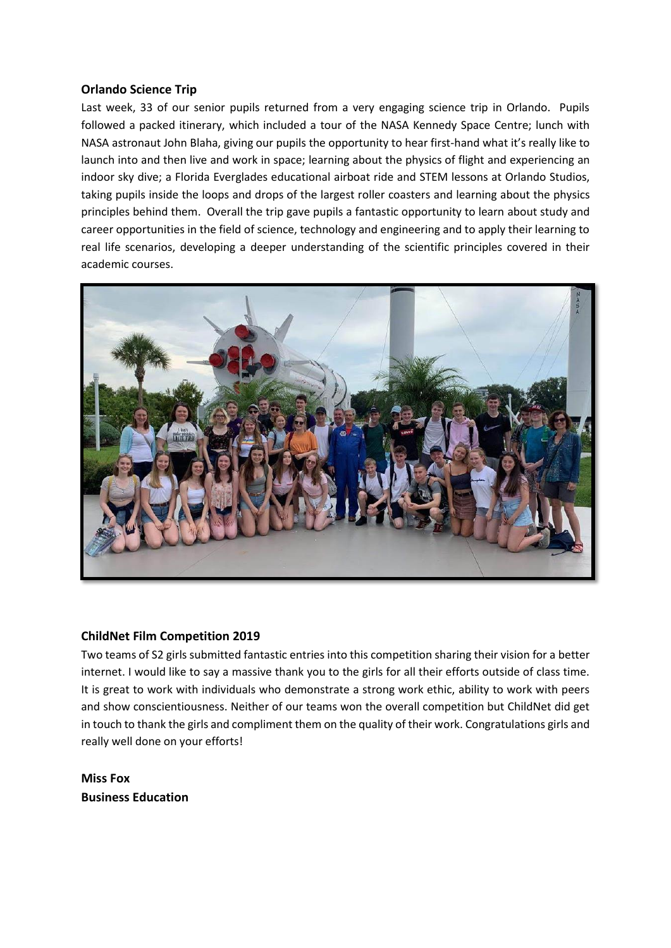#### **Orlando Science Trip**

Last week, 33 of our senior pupils returned from a very engaging science trip in Orlando. Pupils followed a packed itinerary, which included a tour of the NASA Kennedy Space Centre; lunch with NASA astronaut John Blaha, giving our pupils the opportunity to hear first-hand what it's really like to launch into and then live and work in space; learning about the physics of flight and experiencing an indoor sky dive; a Florida Everglades educational airboat ride and STEM lessons at Orlando Studios, taking pupils inside the loops and drops of the largest roller coasters and learning about the physics principles behind them. Overall the trip gave pupils a fantastic opportunity to learn about study and career opportunities in the field of science, technology and engineering and to apply their learning to real life scenarios, developing a deeper understanding of the scientific principles covered in their academic courses.



# **ChildNet Film Competition 2019**

Two teams of S2 girls submitted fantastic entries into this competition sharing their vision for a better internet. I would like to say a massive thank you to the girls for all their efforts outside of class time. It is great to work with individuals who demonstrate a strong work ethic, ability to work with peers and show conscientiousness. Neither of our teams won the overall competition but ChildNet did get in touch to thank the girls and compliment them on the quality of their work. Congratulations girls and really well done on your efforts!

**Miss Fox Business Education**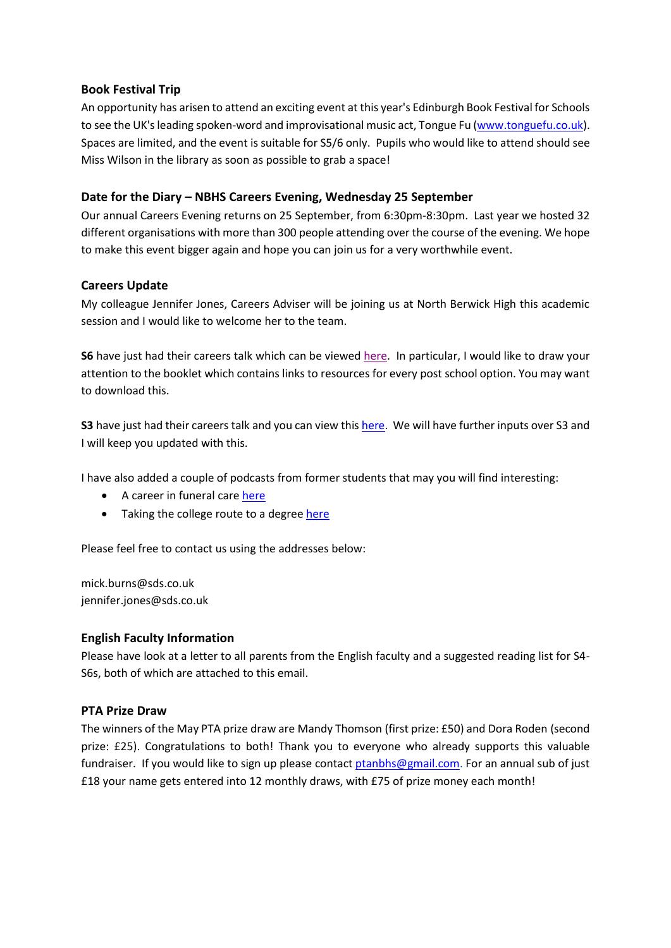# **Book Festival Trip**

An opportunity has arisen to attend an exciting event at this year's Edinburgh Book Festival for Schools to see the UK's leading spoken-word and improvisational music act, Tongue Fu [\(www.tonguefu.co.uk\)](http://www.tonguefu.co.uk/). Spaces are limited, and the event is suitable for S5/6 only. Pupils who would like to attend should see Miss Wilson in the library as soon as possible to grab a space!

# **Date for the Diary – NBHS Careers Evening, Wednesday 25 September**

Our annual Careers Evening returns on 25 September, from 6:30pm-8:30pm. Last year we hosted 32 different organisations with more than 300 people attending over the course of the evening. We hope to make this event bigger again and hope you can join us for a very worthwhile event.

# **Careers Update**

My colleague Jennifer Jones, Careers Adviser will be joining us at North Berwick High this academic session and I would like to welcome her to the team.

**S6** have just had their careers talk which can be viewed [here.](https://www.edubuzz.org/careers/2019/06/03/s6-careers-talk-june-2019/) In particular, I would like to draw your attention to the booklet which contains links to resources for every post school option. You may want to download this.

**S3** have just had their careers talk and you can view this [here.](https://www.edubuzz.org/careers/2019/06/11/s3-careers-talk-june-2019/) We will have further inputs over S3 and I will keep you updated with this.

I have also added a couple of podcasts from former students that may you will find interesting:

- A career in funeral care [here](https://www.edubuzz.org/careers/2019/06/11/training-in-funeral-care/)
- Taking the college route to a degree [here](https://www.edubuzz.org/careers/2019/06/11/a-college-route-to-a-degree/)

Please feel free to contact us using the addresses below:

mick.burns@sds.co.uk jennifer.jones@sds.co.uk

# **English Faculty Information**

Please have look at a letter to all parents from the English faculty and a suggested reading list for S4- S6s, both of which are attached to this email.

# **PTA Prize Draw**

The winners of the May PTA prize draw are Mandy Thomson (first prize: £50) and Dora Roden (second prize: £25). Congratulations to both! Thank you to everyone who already supports this valuable fundraiser. If you would like to sign up please contact [ptanbhs@gmail.com.](mailto:ptanbhs@gmail.com) For an annual sub of just £18 your name gets entered into 12 monthly draws, with £75 of prize money each month!